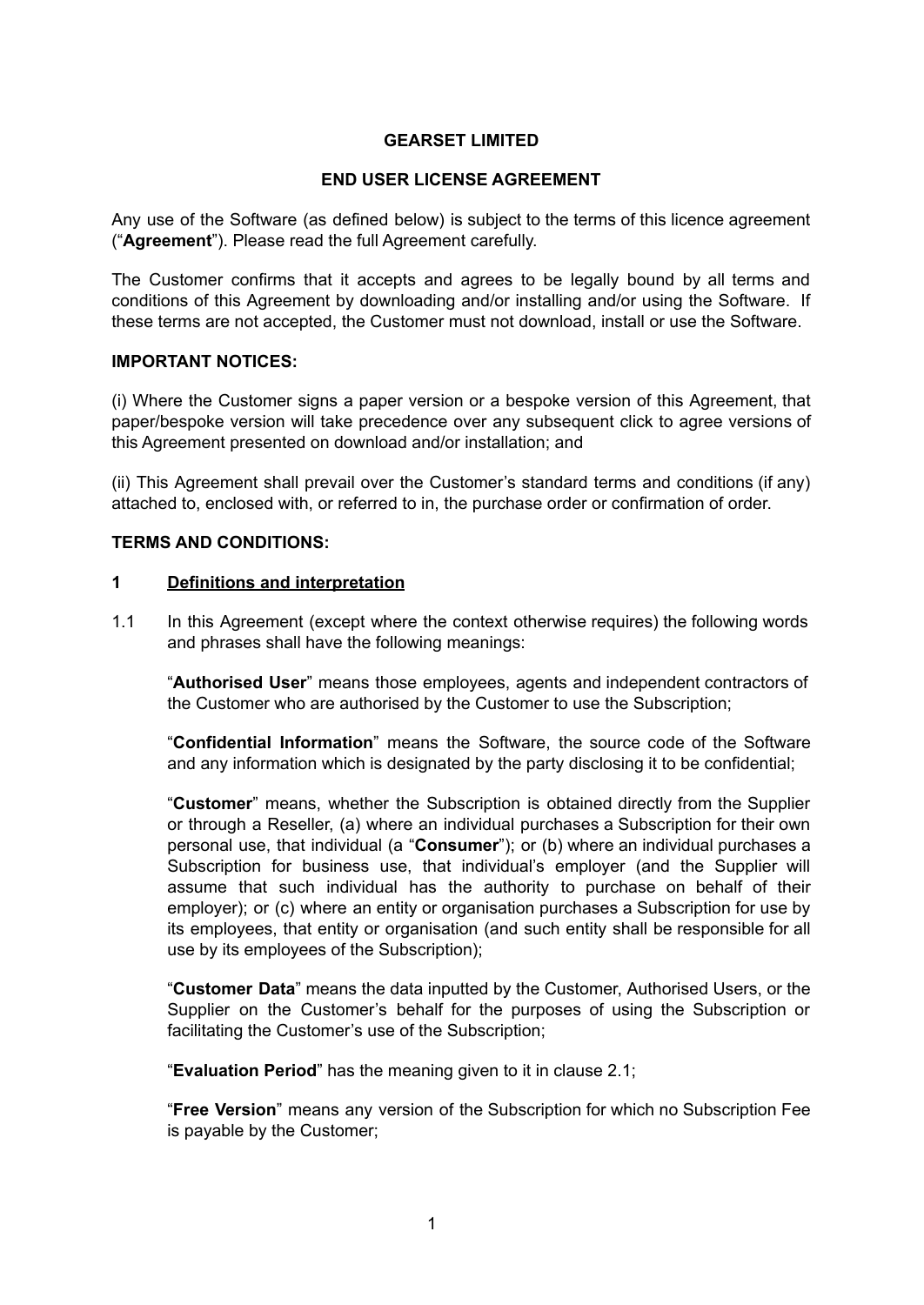## **GEARSET LIMITED**

#### **END USER LICENSE AGREEMENT**

Any use of the Software (as defined below) is subject to the terms of this licence agreement ("**Agreement**"). Please read the full Agreement carefully.

The Customer confirms that it accepts and agrees to be legally bound by all terms and conditions of this Agreement by downloading and/or installing and/or using the Software. If these terms are not accepted, the Customer must not download, install or use the Software.

#### **IMPORTANT NOTICES:**

(i) Where the Customer signs a paper version or a bespoke version of this Agreement, that paper/bespoke version will take precedence over any subsequent click to agree versions of this Agreement presented on download and/or installation; and

(ii) This Agreement shall prevail over the Customer's standard terms and conditions (if any) attached to, enclosed with, or referred to in, the purchase order or confirmation of order.

## **TERMS AND CONDITIONS:**

#### **1 Definitions and interpretation**

1.1 In this Agreement (except where the context otherwise requires) the following words and phrases shall have the following meanings:

"**Authorised User**" means those employees, agents and independent contractors of the Customer who are authorised by the Customer to use the Subscription;

"**Confidential Information**" means the Software, the source code of the Software and any information which is designated by the party disclosing it to be confidential;

"**Customer**" means, whether the Subscription is obtained directly from the Supplier or through a Reseller, (a) where an individual purchases a Subscription for their own personal use, that individual (a "**Consumer**"); or (b) where an individual purchases a Subscription for business use, that individual's employer (and the Supplier will assume that such individual has the authority to purchase on behalf of their employer); or (c) where an entity or organisation purchases a Subscription for use by its employees, that entity or organisation (and such entity shall be responsible for all use by its employees of the Subscription);

"**Customer Data**" means the data inputted by the Customer, Authorised Users, or the Supplier on the Customer's behalf for the purposes of using the Subscription or facilitating the Customer's use of the Subscription;

"**Evaluation Period**" has the meaning given to it in clause 2.1;

"**Free Version**" means any version of the Subscription for which no Subscription Fee is payable by the Customer;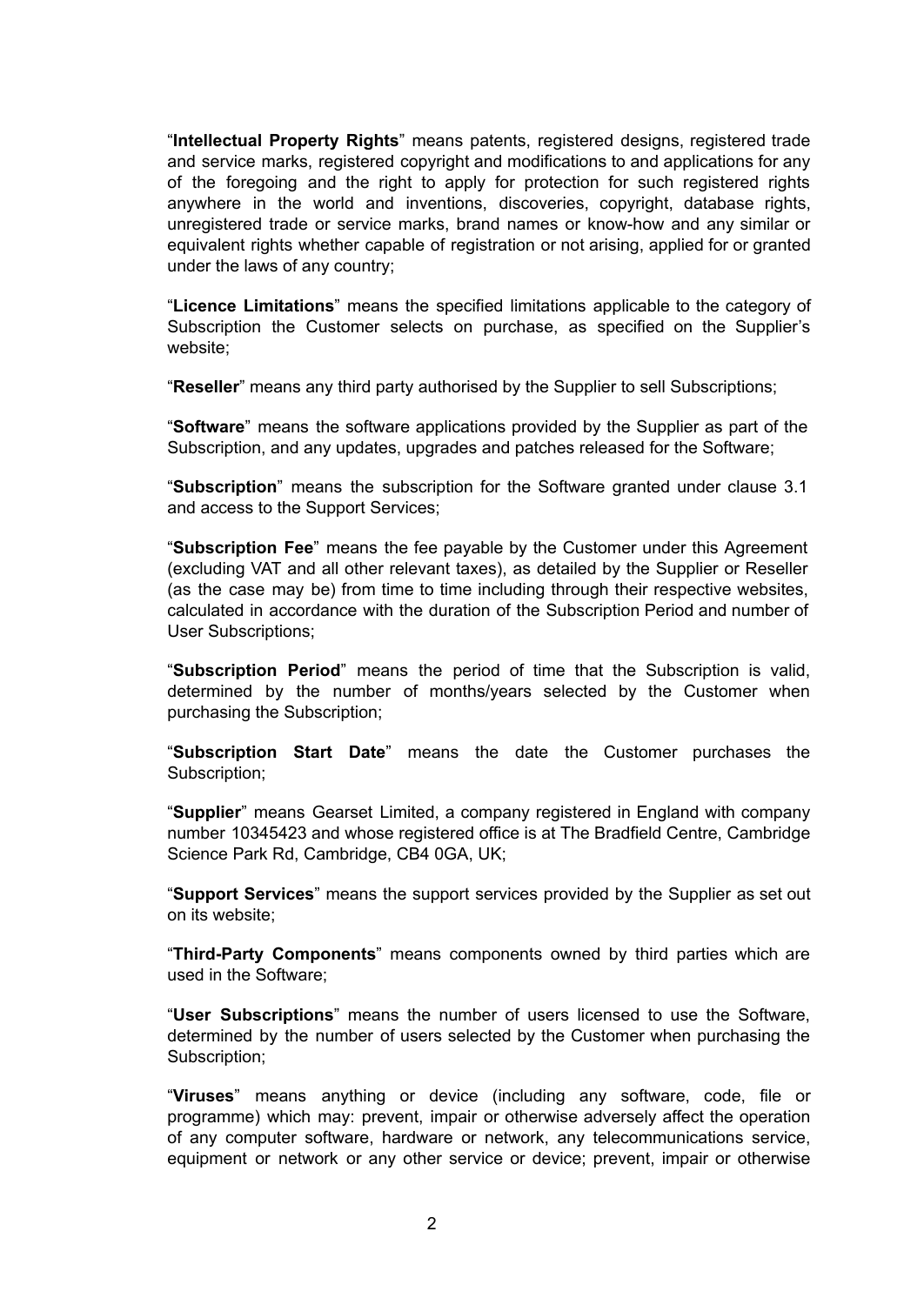"**Intellectual Property Rights**" means patents, registered designs, registered trade and service marks, registered copyright and modifications to and applications for any of the foregoing and the right to apply for protection for such registered rights anywhere in the world and inventions, discoveries, copyright, database rights, unregistered trade or service marks, brand names or know-how and any similar or equivalent rights whether capable of registration or not arising, applied for or granted under the laws of any country;

"**Licence Limitations**" means the specified limitations applicable to the category of Subscription the Customer selects on purchase, as specified on the Supplier's website;

"**Reseller**" means any third party authorised by the Supplier to sell Subscriptions;

"**Software**" means the software applications provided by the Supplier as part of the Subscription, and any updates, upgrades and patches released for the Software;

"**Subscription**" means the subscription for the Software granted under clause 3.1 and access to the Support Services;

"**Subscription Fee**" means the fee payable by the Customer under this Agreement (excluding VAT and all other relevant taxes), as detailed by the Supplier or Reseller (as the case may be) from time to time including through their respective websites, calculated in accordance with the duration of the Subscription Period and number of User Subscriptions;

"**Subscription Period**" means the period of time that the Subscription is valid, determined by the number of months/years selected by the Customer when purchasing the Subscription;

"**Subscription Start Date**" means the date the Customer purchases the Subscription:

"**Supplier**" means Gearset Limited, a company registered in England with company number 10345423 and whose registered office is at The Bradfield Centre, Cambridge Science Park Rd, Cambridge, CB4 0GA, UK;

"**Support Services**" means the support services provided by the Supplier as set out on its website;

"**Third-Party Components**" means components owned by third parties which are used in the Software;

"**User Subscriptions**" means the number of users licensed to use the Software, determined by the number of users selected by the Customer when purchasing the Subscription:

"**Viruses**" means anything or device (including any software, code, file or programme) which may: prevent, impair or otherwise adversely affect the operation of any computer software, hardware or network, any telecommunications service, equipment or network or any other service or device; prevent, impair or otherwise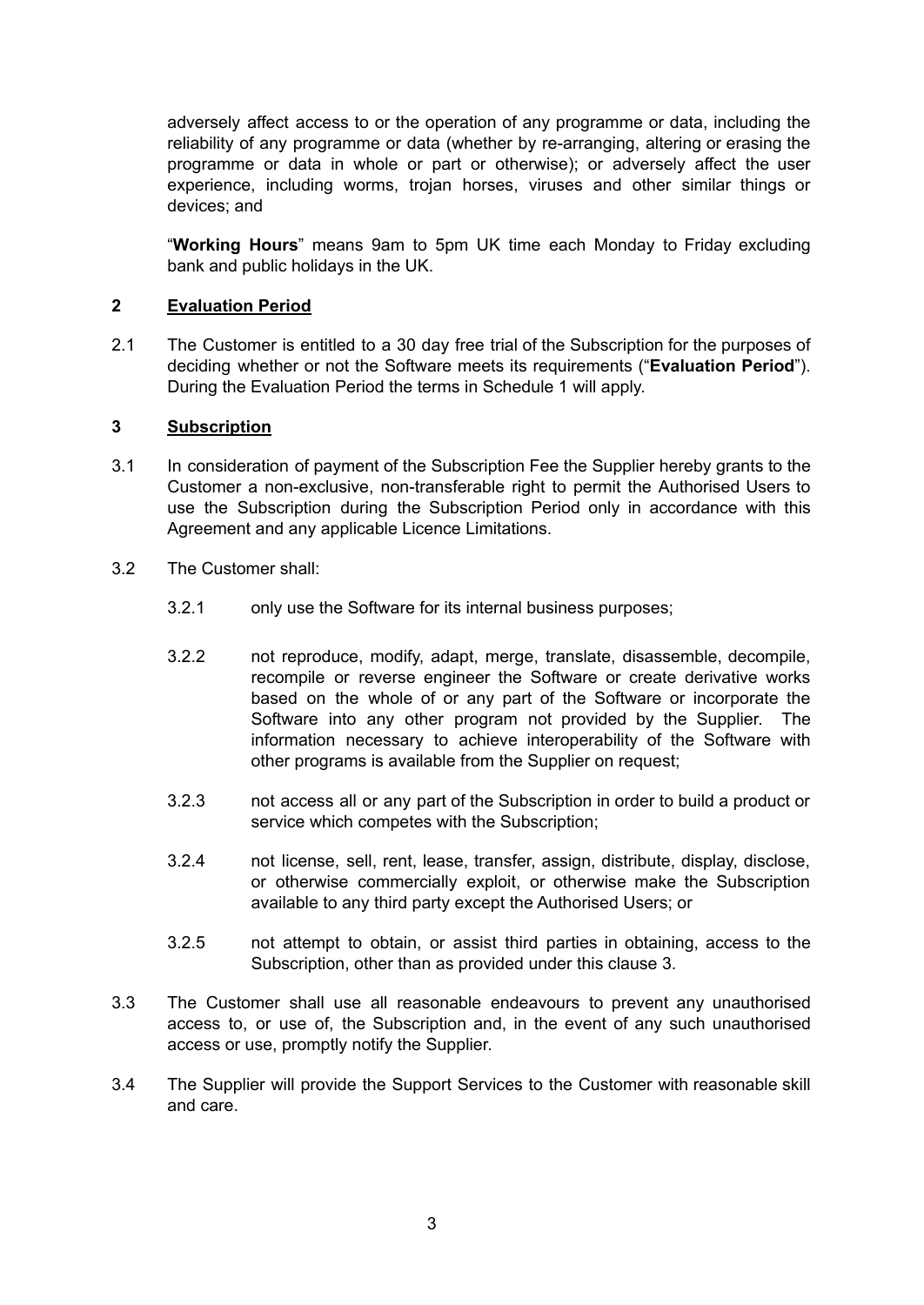adversely affect access to or the operation of any programme or data, including the reliability of any programme or data (whether by re-arranging, altering or erasing the programme or data in whole or part or otherwise); or adversely affect the user experience, including worms, trojan horses, viruses and other similar things or devices; and

"**Working Hours**" means 9am to 5pm UK time each Monday to Friday excluding bank and public holidays in the UK.

## **2 Evaluation Period**

2.1 The Customer is entitled to a 30 day free trial of the Subscription for the purposes of deciding whether or not the Software meets its requirements ("**Evaluation Period**"). During the Evaluation Period the terms in Schedule 1 will apply.

## **3 Subscription**

- 3.1 In consideration of payment of the Subscription Fee the Supplier hereby grants to the Customer a non-exclusive, non-transferable right to permit the Authorised Users to use the Subscription during the Subscription Period only in accordance with this Agreement and any applicable Licence Limitations.
- 3.2 The Customer shall:
	- 3.2.1 only use the Software for its internal business purposes;
	- 3.2.2 not reproduce, modify, adapt, merge, translate, disassemble, decompile, recompile or reverse engineer the Software or create derivative works based on the whole of or any part of the Software or incorporate the Software into any other program not provided by the Supplier. The information necessary to achieve interoperability of the Software with other programs is available from the Supplier on request;
	- 3.2.3 not access all or any part of the Subscription in order to build a product or service which competes with the Subscription;
	- 3.2.4 not license, sell, rent, lease, transfer, assign, distribute, display, disclose, or otherwise commercially exploit, or otherwise make the Subscription available to any third party except the Authorised Users; or
	- 3.2.5 not attempt to obtain, or assist third parties in obtaining, access to the Subscription, other than as provided under this clause 3.
- 3.3 The Customer shall use all reasonable endeavours to prevent any unauthorised access to, or use of, the Subscription and, in the event of any such unauthorised access or use, promptly notify the Supplier.
- 3.4 The Supplier will provide the Support Services to the Customer with reasonable skill and care.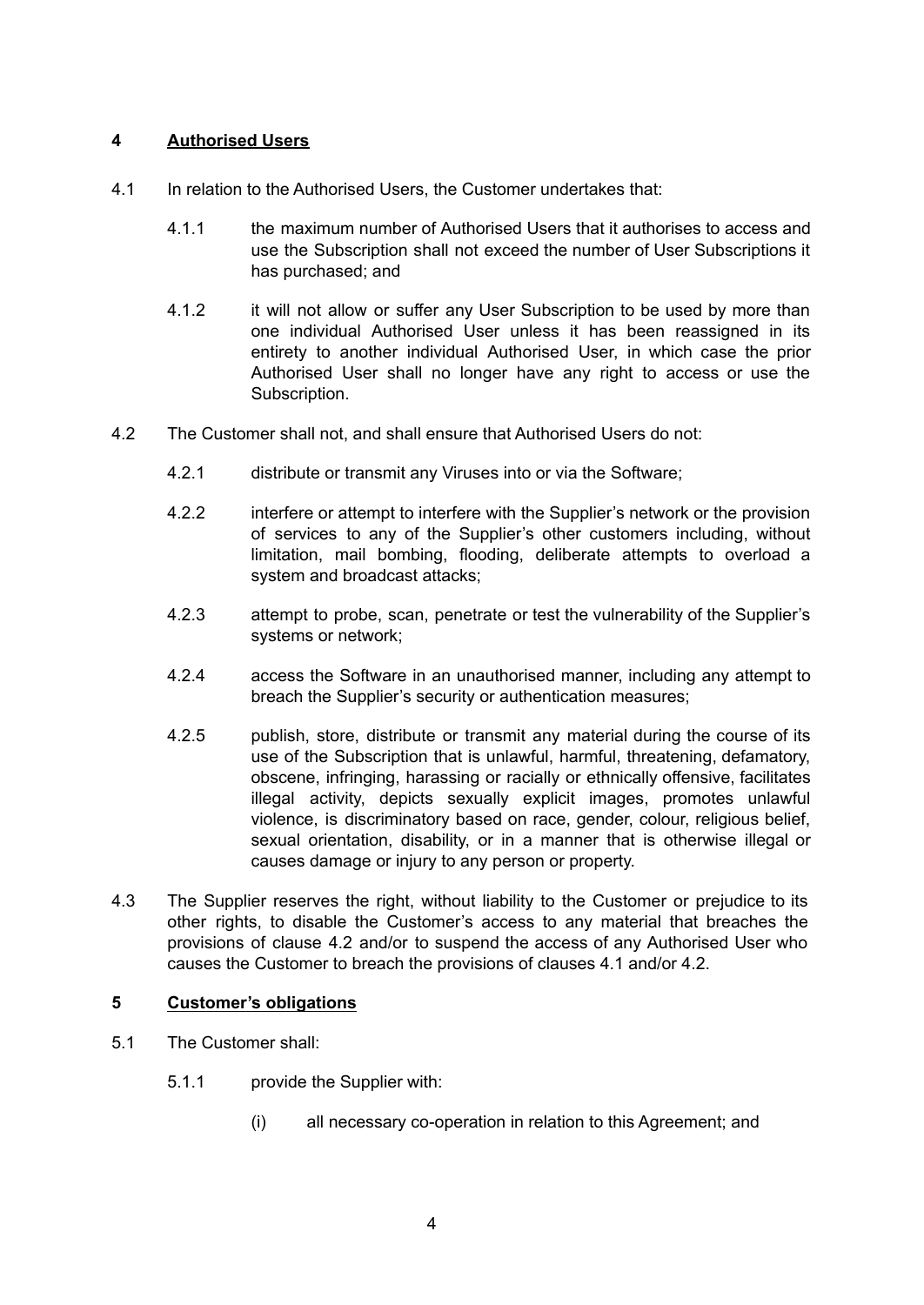# **4 Authorised Users**

- 4.1 In relation to the Authorised Users, the Customer undertakes that:
	- 4.1.1 the maximum number of Authorised Users that it authorises to access and use the Subscription shall not exceed the number of User Subscriptions it has purchased; and
	- 4.1.2 it will not allow or suffer any User Subscription to be used by more than one individual Authorised User unless it has been reassigned in its entirety to another individual Authorised User, in which case the prior Authorised User shall no longer have any right to access or use the Subscription.
- 4.2 The Customer shall not, and shall ensure that Authorised Users do not:
	- 4.2.1 distribute or transmit any Viruses into or via the Software;
	- 4.2.2 interfere or attempt to interfere with the Supplier's network or the provision of services to any of the Supplier's other customers including, without limitation, mail bombing, flooding, deliberate attempts to overload a system and broadcast attacks;
	- 4.2.3 attempt to probe, scan, penetrate or test the vulnerability of the Supplier's systems or network;
	- 4.2.4 access the Software in an unauthorised manner, including any attempt to breach the Supplier's security or authentication measures;
	- 4.2.5 publish, store, distribute or transmit any material during the course of its use of the Subscription that is unlawful, harmful, threatening, defamatory, obscene, infringing, harassing or racially or ethnically offensive, facilitates illegal activity, depicts sexually explicit images, promotes unlawful violence, is discriminatory based on race, gender, colour, religious belief, sexual orientation, disability, or in a manner that is otherwise illegal or causes damage or injury to any person or property.
- 4.3 The Supplier reserves the right, without liability to the Customer or prejudice to its other rights, to disable the Customer's access to any material that breaches the provisions of clause 4.2 and/or to suspend the access of any Authorised User who causes the Customer to breach the provisions of clauses 4.1 and/or 4.2.

# **5 Customer's obligations**

- 5.1 The Customer shall:
	- 5.1.1 provide the Supplier with:
		- (i) all necessary co-operation in relation to this Agreement; and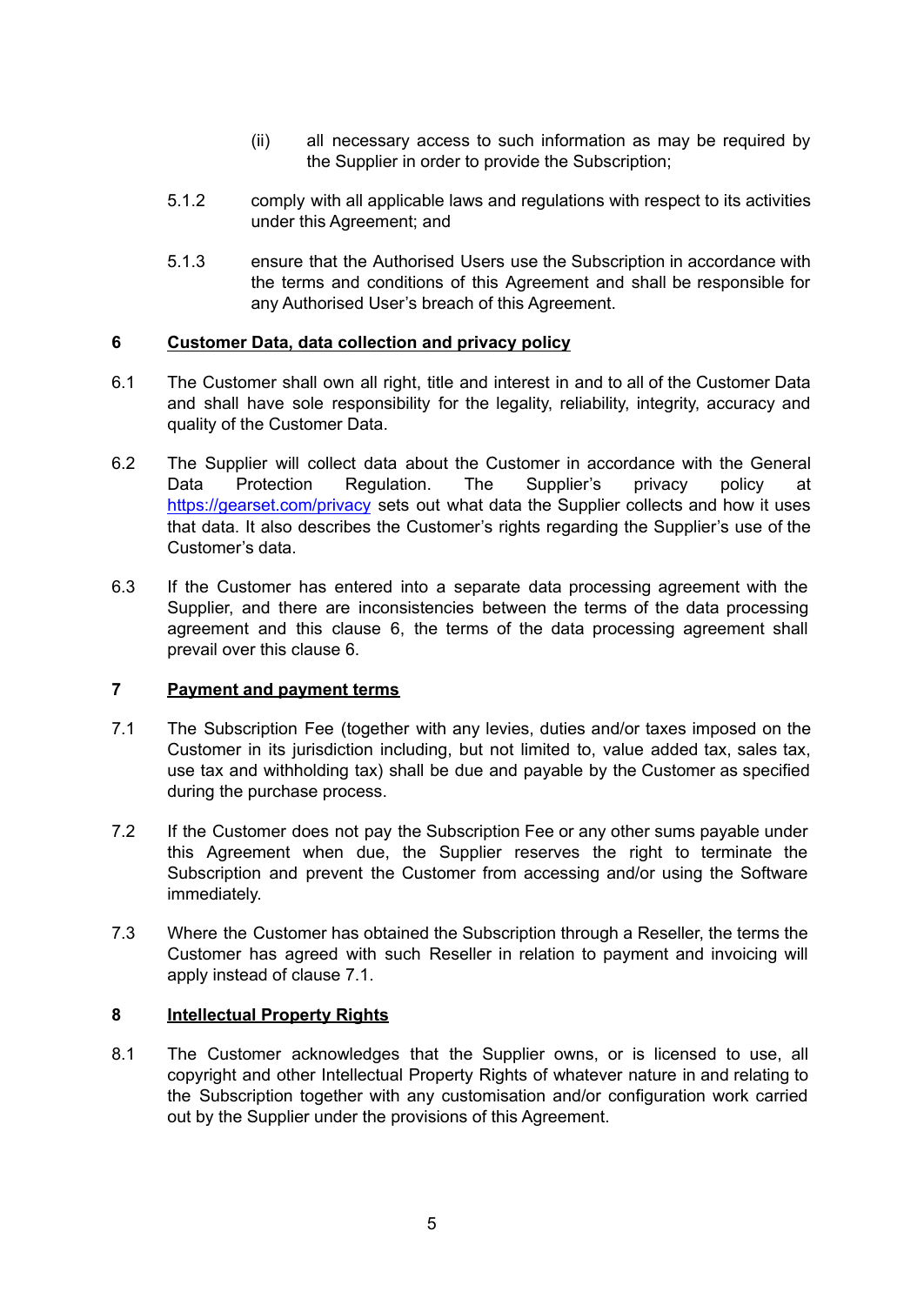- (ii) all necessary access to such information as may be required by the Supplier in order to provide the Subscription;
- 5.1.2 comply with all applicable laws and regulations with respect to its activities under this Agreement; and
- 5.1.3 ensure that the Authorised Users use the Subscription in accordance with the terms and conditions of this Agreement and shall be responsible for any Authorised User's breach of this Agreement.

## **6 Customer Data, data collection and privacy policy**

- 6.1 The Customer shall own all right, title and interest in and to all of the Customer Data and shall have sole responsibility for the legality, reliability, integrity, accuracy and quality of the Customer Data.
- 6.2 The Supplier will collect data about the Customer in accordance with the General Data Protection Regulation. The Supplier's privacy policy at <https://gearset.com/privacy> sets out what data the Supplier collects and how it uses that data. It also describes the Customer's rights regarding the Supplier's use of the Customer's data.
- 6.3 If the Customer has entered into a separate data processing agreement with the Supplier, and there are inconsistencies between the terms of the data processing agreement and this clause 6, the terms of the data processing agreement shall prevail over this clause 6.

## **7 Payment and payment terms**

- 7.1 The Subscription Fee (together with any levies, duties and/or taxes imposed on the Customer in its jurisdiction including, but not limited to, value added tax, sales tax, use tax and withholding tax) shall be due and payable by the Customer as specified during the purchase process.
- 7.2 If the Customer does not pay the Subscription Fee or any other sums payable under this Agreement when due, the Supplier reserves the right to terminate the Subscription and prevent the Customer from accessing and/or using the Software immediately.
- 7.3 Where the Customer has obtained the Subscription through a Reseller, the terms the Customer has agreed with such Reseller in relation to payment and invoicing will apply instead of clause 7.1.

#### **8 Intellectual Property Rights**

8.1 The Customer acknowledges that the Supplier owns, or is licensed to use, all copyright and other Intellectual Property Rights of whatever nature in and relating to the Subscription together with any customisation and/or configuration work carried out by the Supplier under the provisions of this Agreement.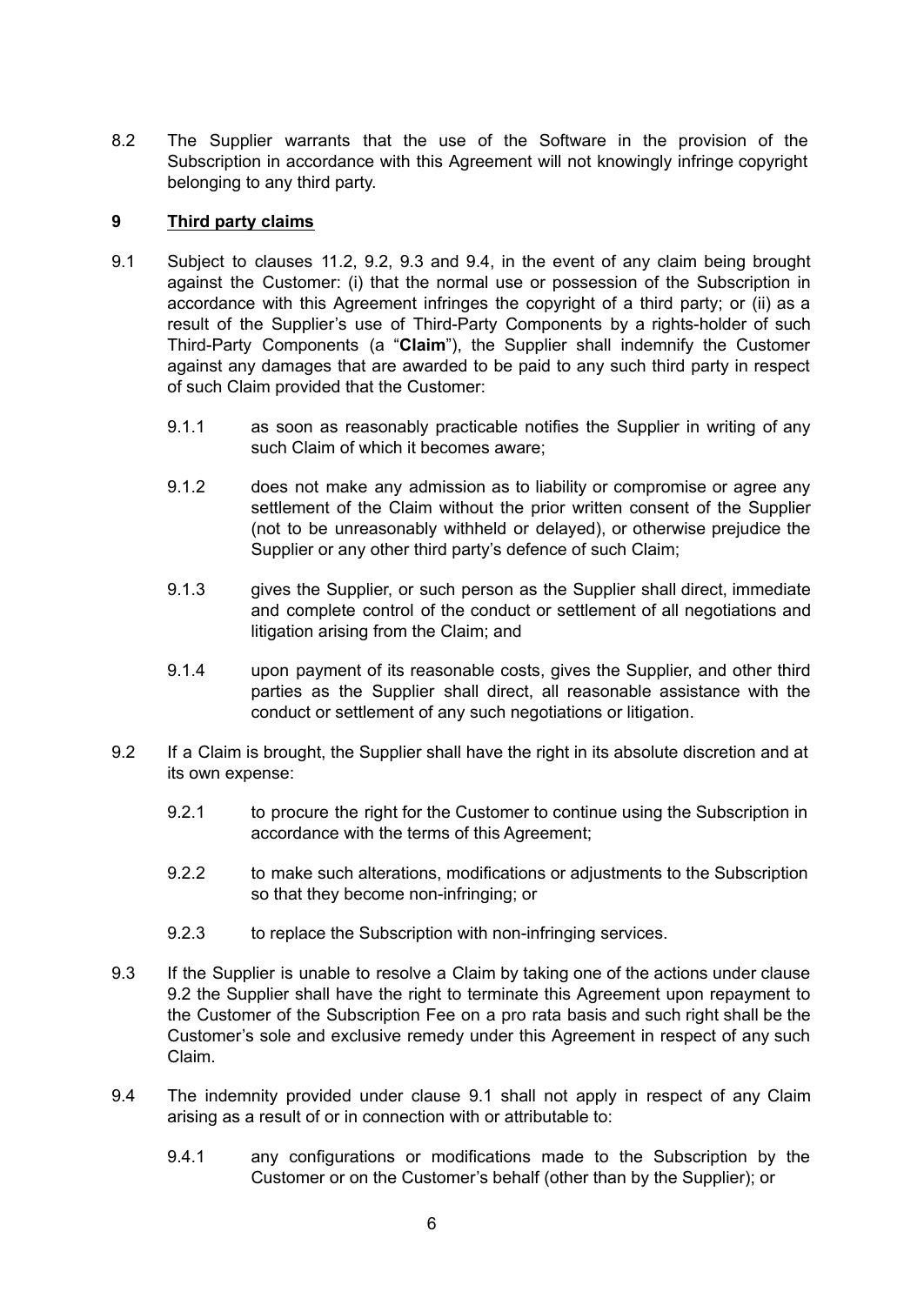8.2 The Supplier warrants that the use of the Software in the provision of the Subscription in accordance with this Agreement will not knowingly infringe copyright belonging to any third party.

## **9 Third party claims**

- 9.1 Subject to clauses 11.2, 9.2, 9.3 and 9.4, in the event of any claim being brought against the Customer: (i) that the normal use or possession of the Subscription in accordance with this Agreement infringes the copyright of a third party; or (ii) as a result of the Supplier's use of Third-Party Components by a rights-holder of such Third-Party Components (a "**Claim**"), the Supplier shall indemnify the Customer against any damages that are awarded to be paid to any such third party in respect of such Claim provided that the Customer:
	- 9.1.1 as soon as reasonably practicable notifies the Supplier in writing of any such Claim of which it becomes aware;
	- 9.1.2 does not make any admission as to liability or compromise or agree any settlement of the Claim without the prior written consent of the Supplier (not to be unreasonably withheld or delayed), or otherwise prejudice the Supplier or any other third party's defence of such Claim;
	- 9.1.3 gives the Supplier, or such person as the Supplier shall direct, immediate and complete control of the conduct or settlement of all negotiations and litigation arising from the Claim; and
	- 9.1.4 upon payment of its reasonable costs, gives the Supplier, and other third parties as the Supplier shall direct, all reasonable assistance with the conduct or settlement of any such negotiations or litigation.
- 9.2 If a Claim is brought, the Supplier shall have the right in its absolute discretion and at its own expense:
	- 9.2.1 to procure the right for the Customer to continue using the Subscription in accordance with the terms of this Agreement;
	- 9.2.2 to make such alterations, modifications or adjustments to the Subscription so that they become non-infringing; or
	- 9.2.3 to replace the Subscription with non-infringing services.
- 9.3 If the Supplier is unable to resolve a Claim by taking one of the actions under clause 9.2 the Supplier shall have the right to terminate this Agreement upon repayment to the Customer of the Subscription Fee on a pro rata basis and such right shall be the Customer's sole and exclusive remedy under this Agreement in respect of any such Claim.
- 9.4 The indemnity provided under clause 9.1 shall not apply in respect of any Claim arising as a result of or in connection with or attributable to:
	- 9.4.1 any configurations or modifications made to the Subscription by the Customer or on the Customer's behalf (other than by the Supplier); or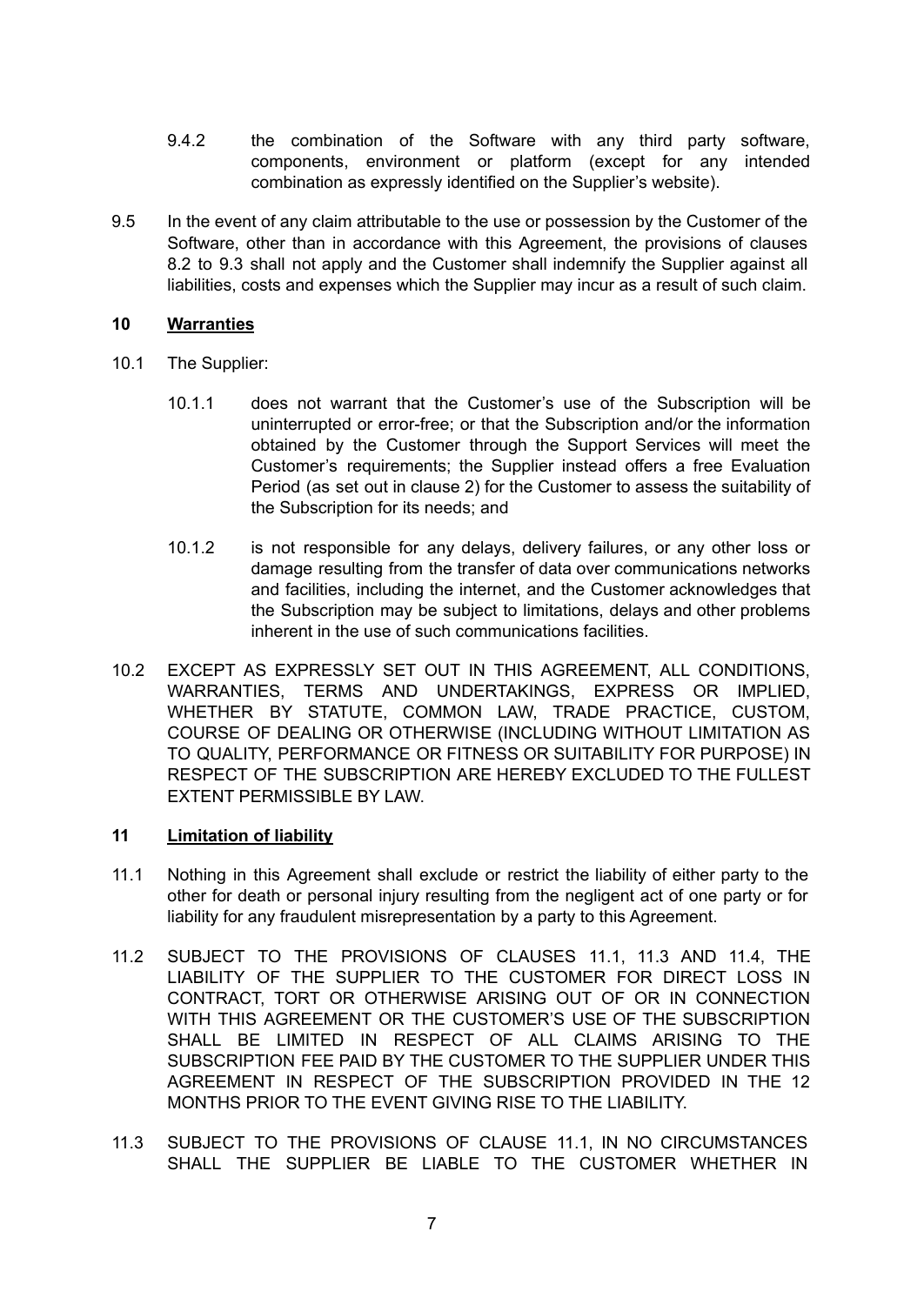- 9.4.2 the combination of the Software with any third party software, components, environment or platform (except for any intended combination as expressly identified on the Supplier's website).
- 9.5 In the event of any claim attributable to the use or possession by the Customer of the Software, other than in accordance with this Agreement, the provisions of clauses 8.2 to 9.3 shall not apply and the Customer shall indemnify the Supplier against all liabilities, costs and expenses which the Supplier may incur as a result of such claim.

## **10 Warranties**

- 10.1 The Supplier:
	- 10.1.1 does not warrant that the Customer's use of the Subscription will be uninterrupted or error-free; or that the Subscription and/or the information obtained by the Customer through the Support Services will meet the Customer's requirements; the Supplier instead offers a free Evaluation Period (as set out in clause 2) for the Customer to assess the suitability of the Subscription for its needs; and
	- 10.1.2 is not responsible for any delays, delivery failures, or any other loss or damage resulting from the transfer of data over communications networks and facilities, including the internet, and the Customer acknowledges that the Subscription may be subject to limitations, delays and other problems inherent in the use of such communications facilities.
- 10.2 EXCEPT AS EXPRESSLY SET OUT IN THIS AGREEMENT, ALL CONDITIONS, WARRANTIES, TERMS AND UNDERTAKINGS, EXPRESS OR IMPLIED, WHETHER BY STATUTE, COMMON LAW, TRADE PRACTICE, CUSTOM, COURSE OF DEALING OR OTHERWISE (INCLUDING WITHOUT LIMITATION AS TO QUALITY, PERFORMANCE OR FITNESS OR SUITABILITY FOR PURPOSE) IN RESPECT OF THE SUBSCRIPTION ARE HEREBY EXCLUDED TO THE FULLEST EXTENT PERMISSIBLE BY LAW.

## **11 Limitation of liability**

- 11.1 Nothing in this Agreement shall exclude or restrict the liability of either party to the other for death or personal injury resulting from the negligent act of one party or for liability for any fraudulent misrepresentation by a party to this Agreement.
- 11.2 SUBJECT TO THE PROVISIONS OF CLAUSES 11.1, 11.3 AND 11.4, THE LIABILITY OF THE SUPPLIER TO THE CUSTOMER FOR DIRECT LOSS IN CONTRACT, TORT OR OTHERWISE ARISING OUT OF OR IN CONNECTION WITH THIS AGREEMENT OR THE CUSTOMER'S USE OF THE SUBSCRIPTION SHALL BE LIMITED IN RESPECT OF ALL CLAIMS ARISING TO THE SUBSCRIPTION FEE PAID BY THE CUSTOMER TO THE SUPPLIER UNDER THIS AGREEMENT IN RESPECT OF THE SUBSCRIPTION PROVIDED IN THE 12 MONTHS PRIOR TO THE EVENT GIVING RISE TO THE LIABILITY.
- 11.3 SUBJECT TO THE PROVISIONS OF CLAUSE 11.1, IN NO CIRCUMSTANCES SHALL THE SUPPLIER BE LIABLE TO THE CUSTOMER WHETHER IN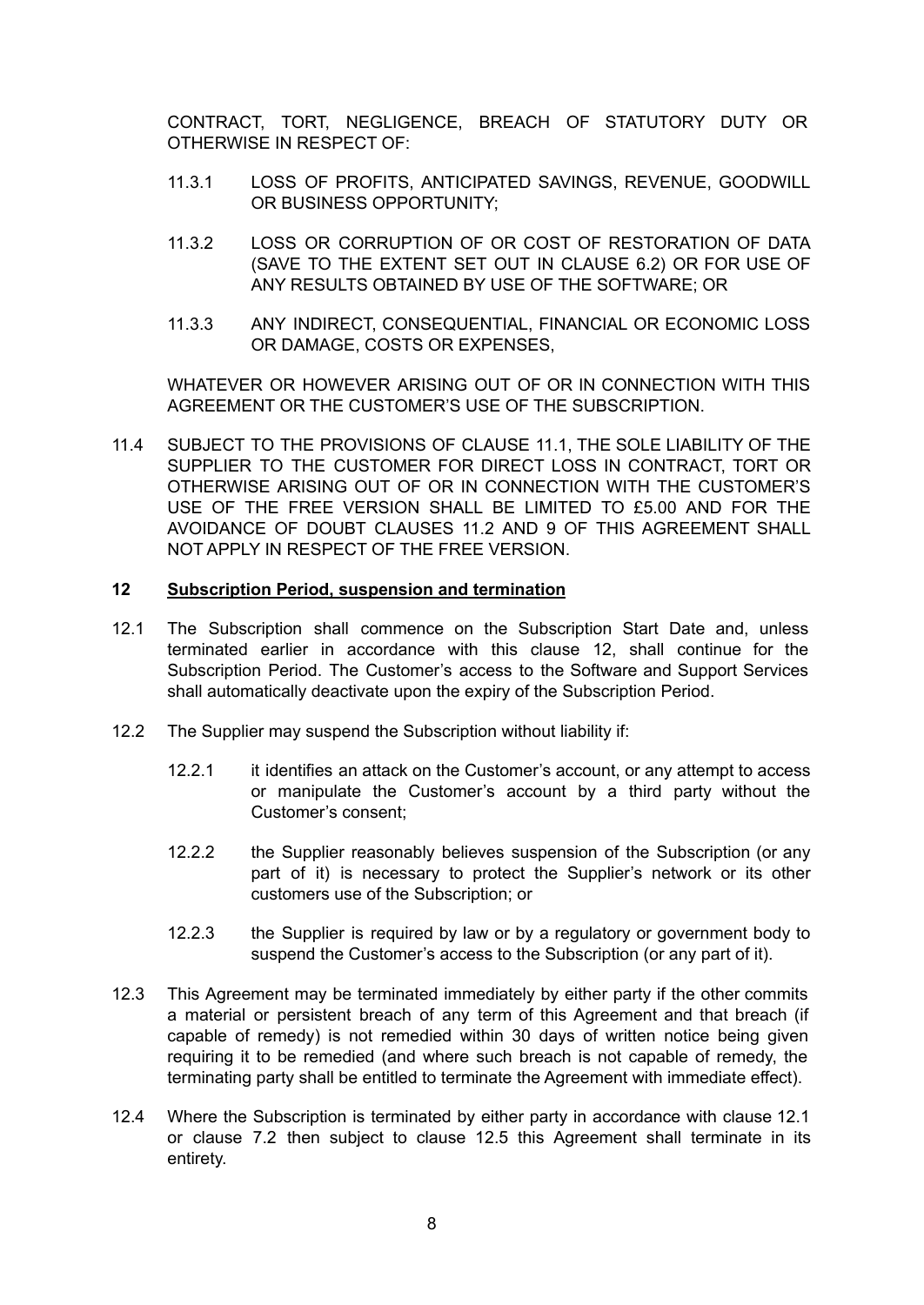CONTRACT, TORT, NEGLIGENCE, BREACH OF STATUTORY DUTY OR OTHERWISE IN RESPECT OF:

- 11.3.1 LOSS OF PROFITS, ANTICIPATED SAVINGS, REVENUE, GOODWILL OR BUSINESS OPPORTUNITY;
- 11.3.2 LOSS OR CORRUPTION OF OR COST OF RESTORATION OF DATA (SAVE TO THE EXTENT SET OUT IN CLAUSE 6.2) OR FOR USE OF ANY RESULTS OBTAINED BY USE OF THE SOFTWARE; OR
- 11.3.3 ANY INDIRECT, CONSEQUENTIAL, FINANCIAL OR ECONOMIC LOSS OR DAMAGE, COSTS OR EXPENSES,

WHATEVER OR HOWEVER ARISING OUT OF OR IN CONNECTION WITH THIS AGREEMENT OR THE CUSTOMER'S USE OF THE SUBSCRIPTION.

11.4 SUBJECT TO THE PROVISIONS OF CLAUSE 11.1, THE SOLE LIABILITY OF THE SUPPLIER TO THE CUSTOMER FOR DIRECT LOSS IN CONTRACT, TORT OR OTHERWISE ARISING OUT OF OR IN CONNECTION WITH THE CUSTOMER'S USE OF THE FREE VERSION SHALL BE LIMITED TO £5.00 AND FOR THE AVOIDANCE OF DOUBT CLAUSES 11.2 AND 9 OF THIS AGREEMENT SHALL NOT APPLY IN RESPECT OF THE FREE VERSION.

#### **12 Subscription Period, suspension and termination**

- 12.1 The Subscription shall commence on the Subscription Start Date and, unless terminated earlier in accordance with this clause 12, shall continue for the Subscription Period. The Customer's access to the Software and Support Services shall automatically deactivate upon the expiry of the Subscription Period.
- 12.2 The Supplier may suspend the Subscription without liability if:
	- 12.2.1 it identifies an attack on the Customer's account, or any attempt to access or manipulate the Customer's account by a third party without the Customer's consent;
	- 12.2.2 the Supplier reasonably believes suspension of the Subscription (or any part of it) is necessary to protect the Supplier's network or its other customers use of the Subscription; or
	- 12.2.3 the Supplier is required by law or by a regulatory or government body to suspend the Customer's access to the Subscription (or any part of it).
- 12.3 This Agreement may be terminated immediately by either party if the other commits a material or persistent breach of any term of this Agreement and that breach (if capable of remedy) is not remedied within 30 days of written notice being given requiring it to be remedied (and where such breach is not capable of remedy, the terminating party shall be entitled to terminate the Agreement with immediate effect).
- 12.4 Where the Subscription is terminated by either party in accordance with clause 12.1 or clause 7.2 then subject to clause 12.5 this Agreement shall terminate in its entirety.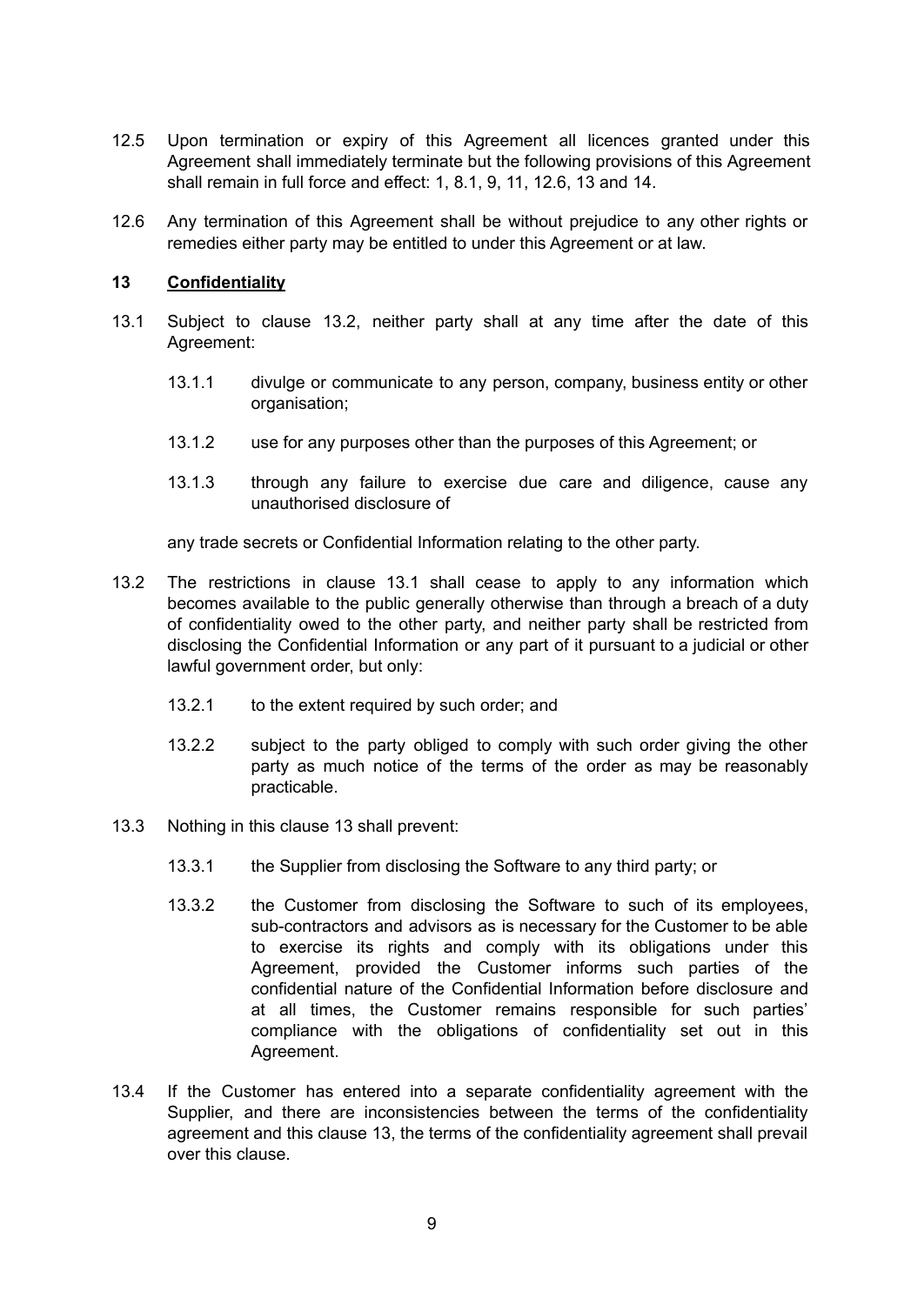- 12.5 Upon termination or expiry of this Agreement all licences granted under this Agreement shall immediately terminate but the following provisions of this Agreement shall remain in full force and effect: 1, 8.1, 9, 11, 12.6, 13 and 14.
- 12.6 Any termination of this Agreement shall be without prejudice to any other rights or remedies either party may be entitled to under this Agreement or at law.

#### **13 Confidentiality**

- 13.1 Subject to clause 13.2, neither party shall at any time after the date of this Agreement:
	- 13.1.1 divulge or communicate to any person, company, business entity or other organisation;
	- 13.1.2 use for any purposes other than the purposes of this Agreement; or
	- 13.1.3 through any failure to exercise due care and diligence, cause any unauthorised disclosure of

any trade secrets or Confidential Information relating to the other party.

- 13.2 The restrictions in clause 13.1 shall cease to apply to any information which becomes available to the public generally otherwise than through a breach of a duty of confidentiality owed to the other party, and neither party shall be restricted from disclosing the Confidential Information or any part of it pursuant to a judicial or other lawful government order, but only:
	- 13.2.1 to the extent required by such order; and
	- 13.2.2 subject to the party obliged to comply with such order giving the other party as much notice of the terms of the order as may be reasonably practicable.
- 13.3 Nothing in this clause 13 shall prevent:
	- 13.3.1 the Supplier from disclosing the Software to any third party; or
	- 13.3.2 the Customer from disclosing the Software to such of its employees, sub-contractors and advisors as is necessary for the Customer to be able to exercise its rights and comply with its obligations under this Agreement, provided the Customer informs such parties of the confidential nature of the Confidential Information before disclosure and at all times, the Customer remains responsible for such parties' compliance with the obligations of confidentiality set out in this Agreement.
- 13.4 If the Customer has entered into a separate confidentiality agreement with the Supplier, and there are inconsistencies between the terms of the confidentiality agreement and this clause 13, the terms of the confidentiality agreement shall prevail over this clause.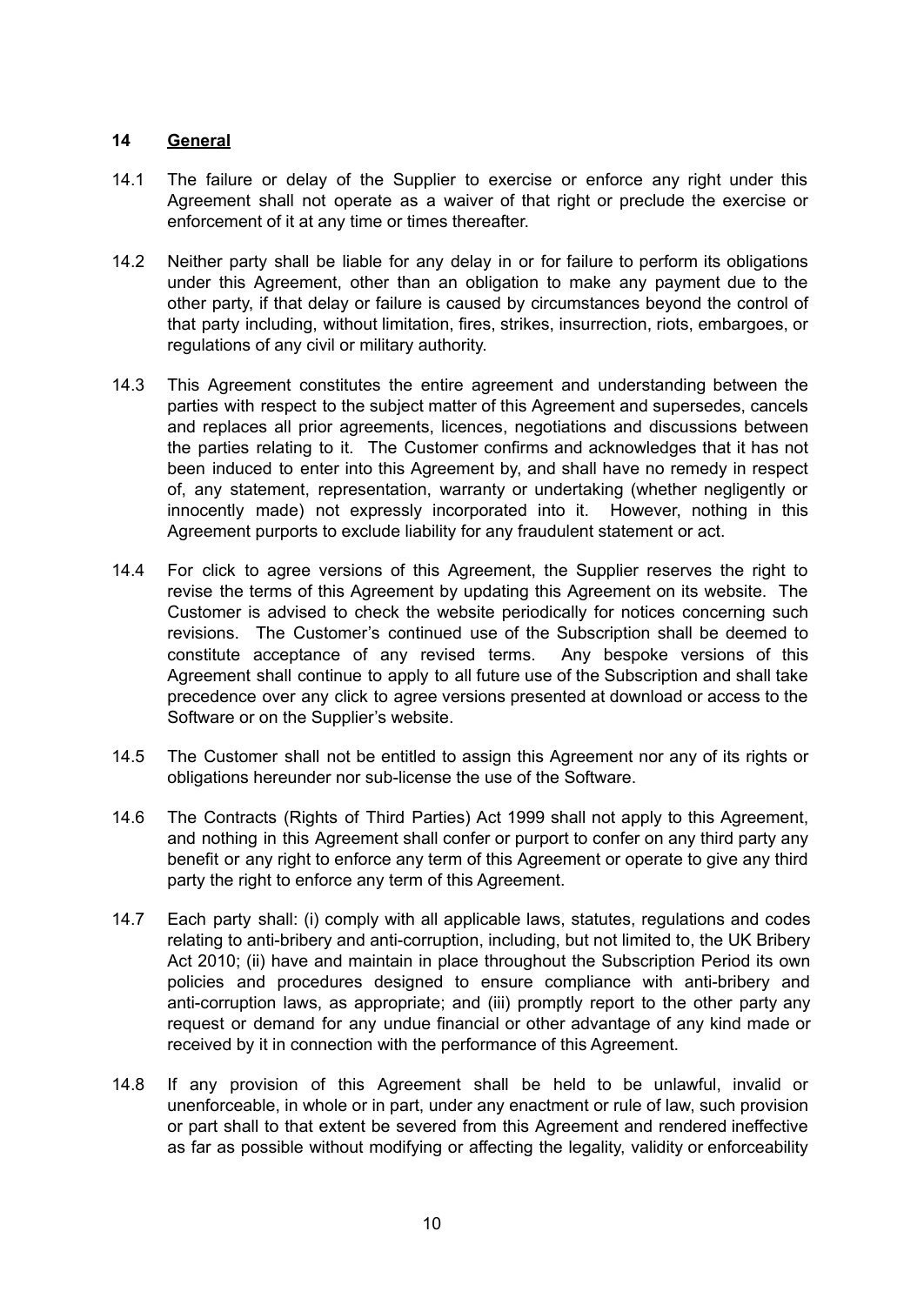# **14 General**

- 14.1 The failure or delay of the Supplier to exercise or enforce any right under this Agreement shall not operate as a waiver of that right or preclude the exercise or enforcement of it at any time or times thereafter.
- 14.2 Neither party shall be liable for any delay in or for failure to perform its obligations under this Agreement, other than an obligation to make any payment due to the other party, if that delay or failure is caused by circumstances beyond the control of that party including, without limitation, fires, strikes, insurrection, riots, embargoes, or regulations of any civil or military authority.
- 14.3 This Agreement constitutes the entire agreement and understanding between the parties with respect to the subject matter of this Agreement and supersedes, cancels and replaces all prior agreements, licences, negotiations and discussions between the parties relating to it. The Customer confirms and acknowledges that it has not been induced to enter into this Agreement by, and shall have no remedy in respect of, any statement, representation, warranty or undertaking (whether negligently or innocently made) not expressly incorporated into it. However, nothing in this Agreement purports to exclude liability for any fraudulent statement or act.
- 14.4 For click to agree versions of this Agreement, the Supplier reserves the right to revise the terms of this Agreement by updating this Agreement on its website. The Customer is advised to check the website periodically for notices concerning such revisions. The Customer's continued use of the Subscription shall be deemed to constitute acceptance of any revised terms. Any bespoke versions of this Agreement shall continue to apply to all future use of the Subscription and shall take precedence over any click to agree versions presented at download or access to the Software or on the Supplier's website.
- 14.5 The Customer shall not be entitled to assign this Agreement nor any of its rights or obligations hereunder nor sub-license the use of the Software.
- 14.6 The Contracts (Rights of Third Parties) Act 1999 shall not apply to this Agreement, and nothing in this Agreement shall confer or purport to confer on any third party any benefit or any right to enforce any term of this Agreement or operate to give any third party the right to enforce any term of this Agreement.
- 14.7 Each party shall: (i) comply with all applicable laws, statutes, regulations and codes relating to anti-bribery and anti-corruption, including, but not limited to, the UK Bribery Act 2010; (ii) have and maintain in place throughout the Subscription Period its own policies and procedures designed to ensure compliance with anti-bribery and anti-corruption laws, as appropriate; and (iii) promptly report to the other party any request or demand for any undue financial or other advantage of any kind made or received by it in connection with the performance of this Agreement.
- 14.8 If any provision of this Agreement shall be held to be unlawful, invalid or unenforceable, in whole or in part, under any enactment or rule of law, such provision or part shall to that extent be severed from this Agreement and rendered ineffective as far as possible without modifying or affecting the legality, validity or enforceability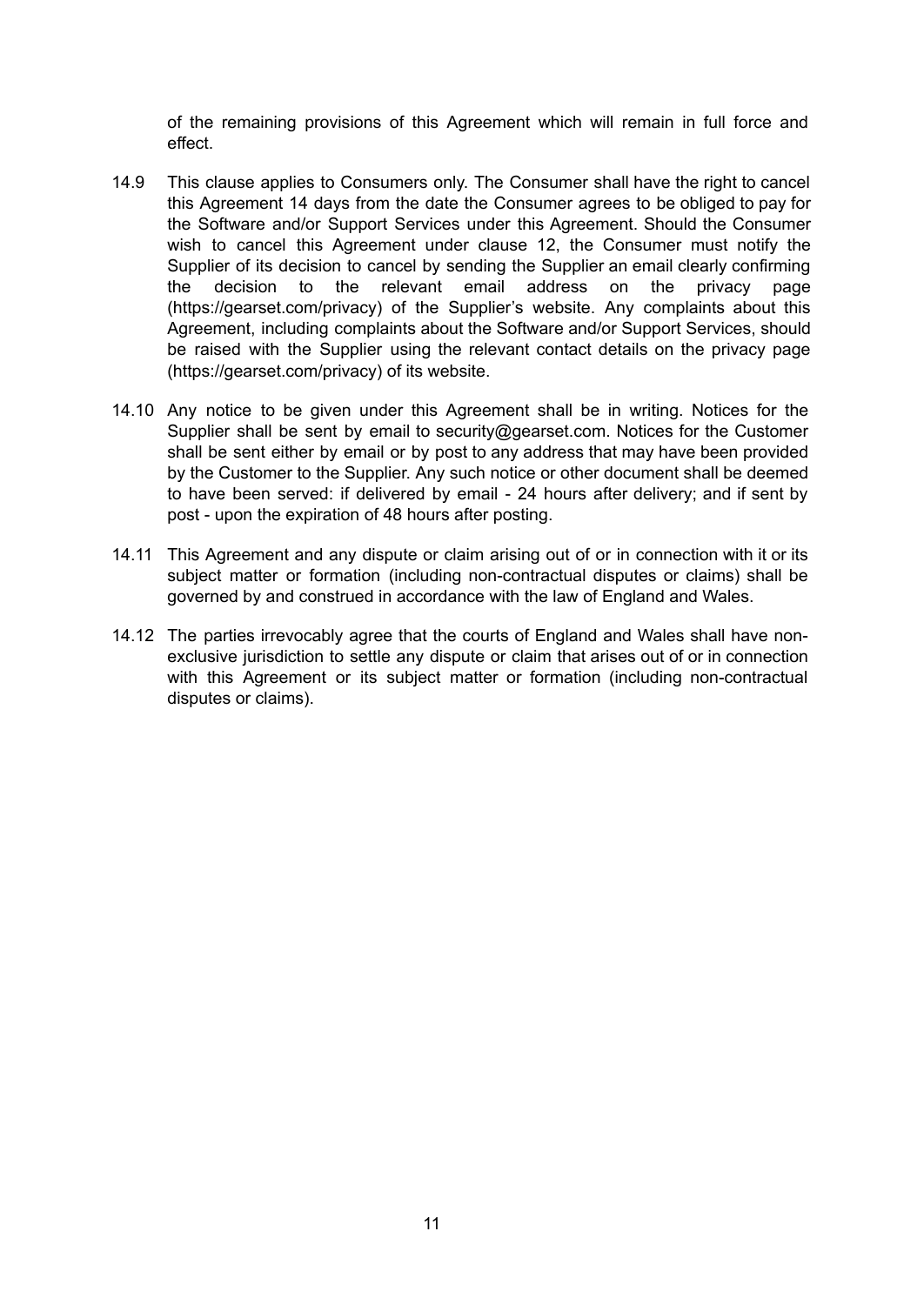of the remaining provisions of this Agreement which will remain in full force and effect.

- 14.9 This clause applies to Consumers only. The Consumer shall have the right to cancel this Agreement 14 days from the date the Consumer agrees to be obliged to pay for the Software and/or Support Services under this Agreement. Should the Consumer wish to cancel this Agreement under clause 12, the Consumer must notify the Supplier of its decision to cancel by sending the Supplier an email clearly confirming the decision to the relevant email address on the privacy page (<https://gearset.com/privacy>) of the Supplier's website. Any complaints about this Agreement, including complaints about the Software and/or Support Services, should be raised with the Supplier using the relevant contact details on the privacy page (<https://gearset.com/privacy>) of its website.
- 14.10 Any notice to be given under this Agreement shall be in writing. Notices for the Supplier shall be sent by email to [security@gearset.com.](mailto:security@gearset.com) Notices for the Customer shall be sent either by email or by post to any address that may have been provided by the Customer to the Supplier. Any such notice or other document shall be deemed to have been served: if delivered by email - 24 hours after delivery; and if sent by post - upon the expiration of 48 hours after posting.
- 14.11 This Agreement and any dispute or claim arising out of or in connection with it or its subject matter or formation (including non-contractual disputes or claims) shall be governed by and construed in accordance with the law of England and Wales.
- 14.12 The parties irrevocably agree that the courts of England and Wales shall have nonexclusive jurisdiction to settle any dispute or claim that arises out of or in connection with this Agreement or its subject matter or formation (including non-contractual disputes or claims).